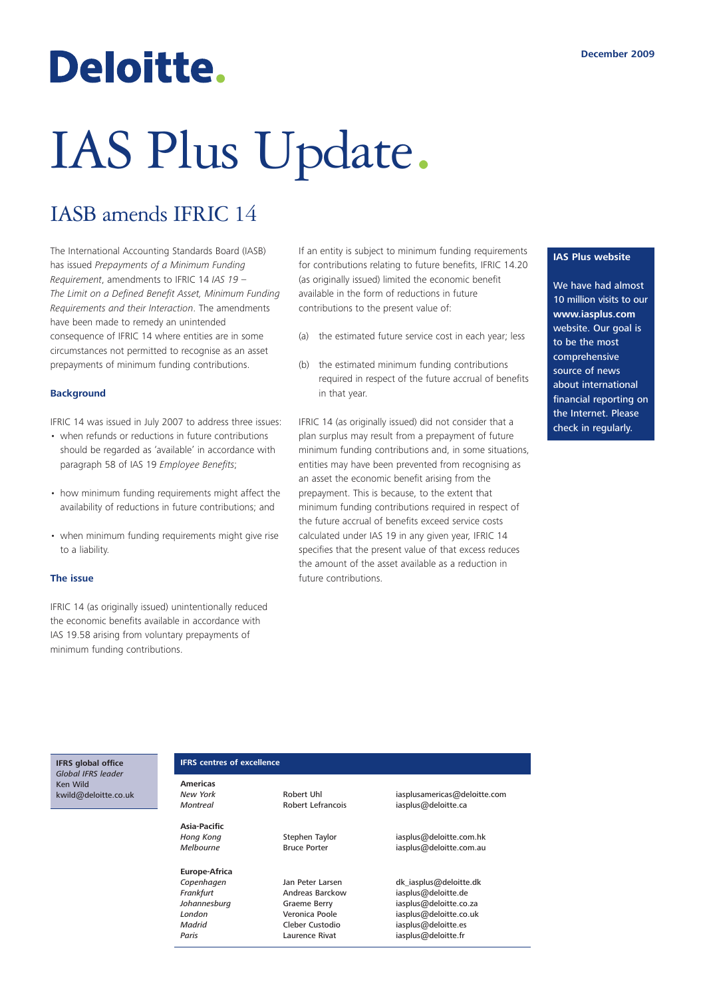## Deloitte.

# IAS Plus Update.

### IASB amends IFRIC 14

The International Accounting Standards Board (IASB) has issued *Prepayments of a Minimum Funding Requirement*, amendments to IFRIC 14 *IAS 19 – The Limit on a Defined Benefit Asset, Minimum Funding Requirements and their Interaction*. The amendments have been made to remedy an unintended consequence of IFRIC 14 where entities are in some circumstances not permitted to recognise as an asset prepayments of minimum funding contributions.

#### **Background**

IFRIC 14 was issued in July 2007 to address three issues:

- when refunds or reductions in future contributions should be regarded as 'available' in accordance with paragraph 58 of IAS 19 *Employee Benefits*;
- how minimum funding requirements might affect the availability of reductions in future contributions; and
- when minimum funding requirements might give rise to a liability.

#### **The issue**

IFRIC 14 (as originally issued) unintentionally reduced the economic benefits available in accordance with IAS 19.58 arising from voluntary prepayments of minimum funding contributions.

If an entity is subject to minimum funding requirements for contributions relating to future benefits, IFRIC 14.20 (as originally issued) limited the economic benefit available in the form of reductions in future contributions to the present value of:

- (a) the estimated future service cost in each year; less
- (b) the estimated minimum funding contributions required in respect of the future accrual of benefits in that year.

IFRIC 14 (as originally issued) did not consider that a plan surplus may result from a prepayment of future minimum funding contributions and, in some situations, entities may have been prevented from recognising as an asset the economic benefit arising from the prepayment. This is because, to the extent that minimum funding contributions required in respect of the future accrual of benefits exceed service costs calculated under IAS 19 in any given year, IFRIC 14 specifies that the present value of that excess reduces the amount of the asset available as a reduction in future contributions.

#### **IAS Plus website**

We have had almost 10 million visits to our **www.iasplus.com** website. Our goal is to be the most comprehensive source of news about international financial reporting on the Internet. Please check in regularly.

#### **IFRS global office** *Global IFRS leader* Ken Wild kwild@deloitte.co.uk

#### **IFRS centres of excellence**

**Americas**

**Asia-Pacific**

**Europe-Africa**

Paris **Paris** Laurence Rivat iasplus@deloitte.fr

**New York Robert Uhl** iasplusamericas@deloitte.com<br>
Montreal **Robert Lefrancois** iasplus@deloitte.ca *Montreal* Robert Lefrancois iasplus@deloitte.ca

**Hong Kong** Stephen Taylor iasplus@deloitte.com.hk<br>Melbourne Melbourne Bruce Porter issplus@deloitte.com.au *iasplus@deloitte.com.au* 

**Copenhagen** Jan Peter Larsen dk\_iasplus@deloitte.dk<br>Frankfurt **Andreas Barckow** iasplus@deloitte.de *Frankfurt* Andreas Barckow iasplus@deloitte.de *Johannesburg* Graeme Berry iasplus@deloitte.co.za<br>
London **iasplus@deloitte.co.uk** Veronica Poole issplus@deloitte.co.uk **London Veronica Poole** iasplus@deloitte.co.uk<br>
Madrid Cleber Custodio iasplus@deloitte.es iasplus@deloitte.es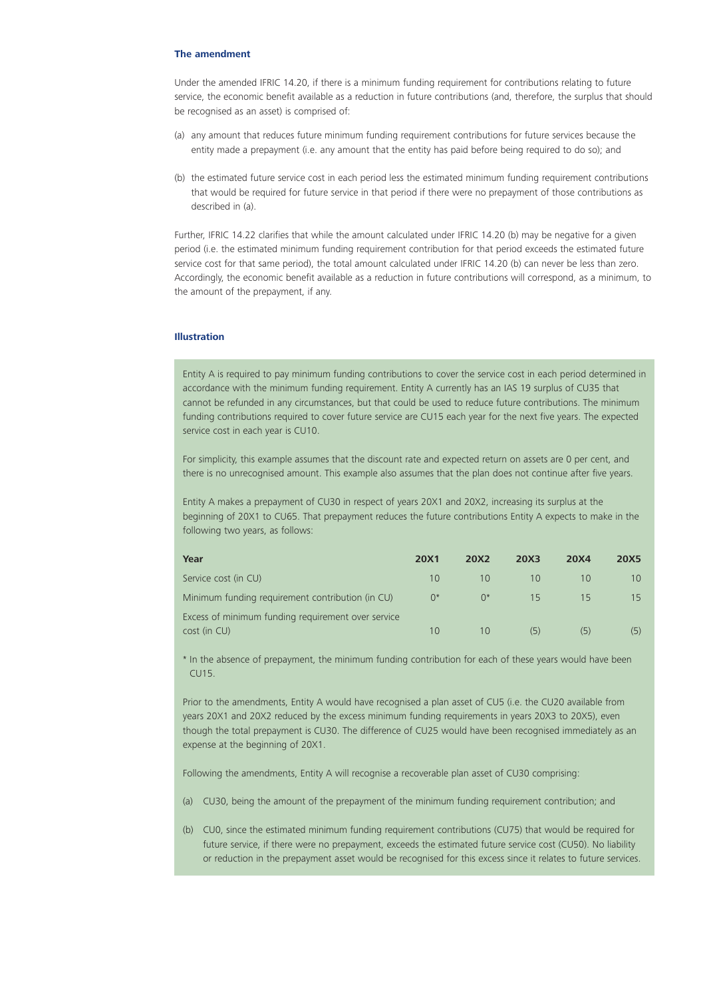#### **The amendment**

Under the amended IFRIC 14.20, if there is a minimum funding requirement for contributions relating to future service, the economic benefit available as a reduction in future contributions (and, therefore, the surplus that should be recognised as an asset) is comprised of:

- (a) any amount that reduces future minimum funding requirement contributions for future services because the entity made a prepayment (i.e. any amount that the entity has paid before being required to do so); and
- (b) the estimated future service cost in each period less the estimated minimum funding requirement contributions that would be required for future service in that period if there were no prepayment of those contributions as described in (a).

Further, IFRIC 14.22 clarifies that while the amount calculated under IFRIC 14.20 (b) may be negative for a given period (i.e. the estimated minimum funding requirement contribution for that period exceeds the estimated future service cost for that same period), the total amount calculated under IFRIC 14.20 (b) can never be less than zero. Accordingly, the economic benefit available as a reduction in future contributions will correspond, as a minimum, to the amount of the prepayment, if any.

#### **Illustration**

Entity A is required to pay minimum funding contributions to cover the service cost in each period determined in accordance with the minimum funding requirement. Entity A currently has an IAS 19 surplus of CU35 that cannot be refunded in any circumstances, but that could be used to reduce future contributions. The minimum funding contributions required to cover future service are CU15 each year for the next five years. The expected service cost in each year is CU10.

For simplicity, this example assumes that the discount rate and expected return on assets are 0 per cent, and there is no unrecognised amount. This example also assumes that the plan does not continue after five years.

Entity A makes a prepayment of CU30 in respect of years 20X1 and 20X2, increasing its surplus at the beginning of 20X1 to CU65. That prepayment reduces the future contributions Entity A expects to make in the following two years, as follows:

| Year                                               | <b>20X1</b> | <b>20X2</b> | <b>20X3</b> | <b>20X4</b>     | <b>20X5</b>     |
|----------------------------------------------------|-------------|-------------|-------------|-----------------|-----------------|
| Service cost (in CU)                               | 10          | 10          | 10          | 10 <sup>1</sup> | $10^{-}$        |
| Minimum funding requirement contribution (in CU)   | $0^*$       | $\bigcap^*$ | 15          | 15              | 15 <sub>1</sub> |
| Excess of minimum funding requirement over service |             |             |             |                 |                 |
| cost (in CU)                                       | 10          | 10          | (5)         | (5)             | (5)             |

\* In the absence of prepayment, the minimum funding contribution for each of these years would have been CU15.

Prior to the amendments, Entity A would have recognised a plan asset of CU5 (i.e. the CU20 available from years 20X1 and 20X2 reduced by the excess minimum funding requirements in years 20X3 to 20X5), even though the total prepayment is CU30. The difference of CU25 would have been recognised immediately as an expense at the beginning of 20X1.

Following the amendments, Entity A will recognise a recoverable plan asset of CU30 comprising:

- (a) CU30, being the amount of the prepayment of the minimum funding requirement contribution; and
- (b) CU0, since the estimated minimum funding requirement contributions (CU75) that would be required for future service, if there were no prepayment, exceeds the estimated future service cost (CU50). No liability or reduction in the prepayment asset would be recognised for this excess since it relates to future services.